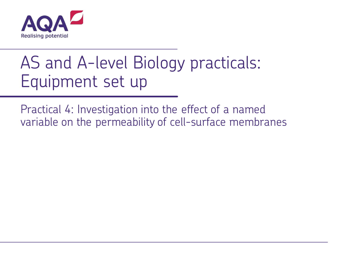

## AS and A-level Biology practicals: Equipment set up

Practical 4: Investigation into the effect of a named variable on the permeability of cell-surface membranes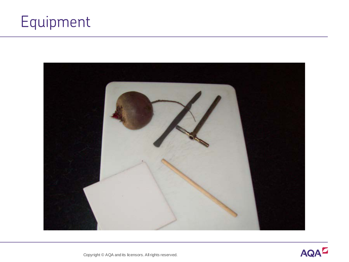## Equipment



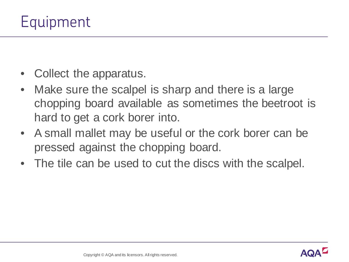- Collect the apparatus.
- Make sure the scalpel is sharp and there is a large chopping board available as sometimes the beetroot is hard to get a cork borer into.
- A small mallet may be useful or the cork borer can be pressed against the chopping board.
- The tile can be used to cut the discs with the scalpel.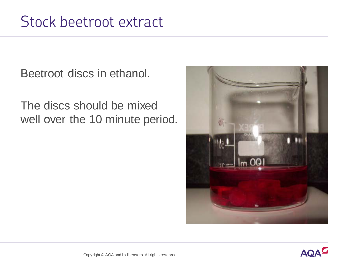Beetroot discs in ethanol.

The discs should be mixed well over the 10 minute period.



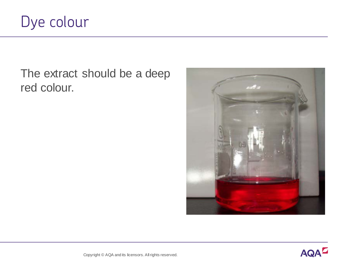

The extract should be a deep red colour.



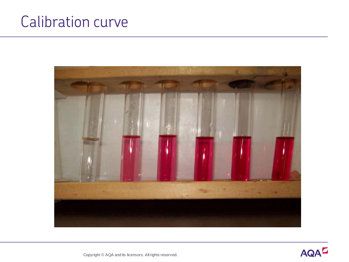## Calibration curve



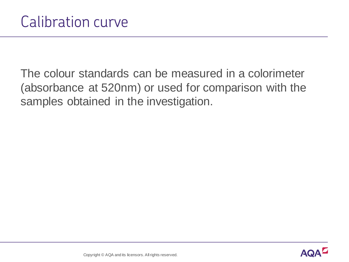The colour standards can be measured in a colorimeter (absorbance at 520nm) or used for comparison with the samples obtained in the investigation.